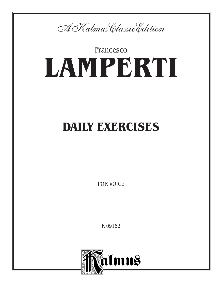

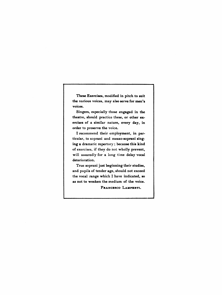These Exercises, modified in pitch to suit the various voices, may also serve for men's voices.

Singers, especially those engaged in the theatre, should practice these, or other exercises of a similar nature, every day, in order to preserve the voice.

I recommend their employment, in particular, to soprani and mezzo-aoprani singing a dramatic repertory ; because this kind of exercises, if they do not wholly prevent, will assuredly for a long time delay vocal deterioration,

True aoprani just beginning their studies, and pupils of tender age, should not exceed the vocal range which I have indicated, so as not to weaken the medium of the voice.

FRANCESCO LAMPERTI.